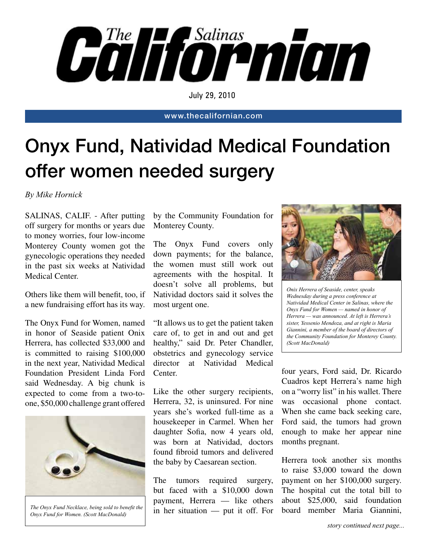

July 29, 2010

www.thecalifornian.com

## Onyx Fund, Natividad Medical Foundation offer women needed surgery

*By Mike Hornick*

SALINAS, CALIF. - After putting off surgery for months or years due to money worries, four low-income Monterey County women got the gynecologic operations they needed in the past six weeks at Natividad Medical Center.

Others like them will benefit, too, if a new fundraising effort has its way.

The Onyx Fund for Women, named in honor of Seaside patient Onix Herrera, has collected \$33,000 and is committed to raising \$100,000 in the next year, Natividad Medical Foundation President Linda Ford said Wednesday. A big chunk is expected to come from a two-toone, \$50,000 challenge grant offered



*The Onyx Fund Necklace, being sold to benefit the Onyx Fund for Women. (Scott MacDonald)*

by the Community Foundation for Monterey County.

The Onyx Fund covers only down payments; for the balance, the women must still work out agreements with the hospital. It doesn't solve all problems, but Natividad doctors said it solves the most urgent one.

"It allows us to get the patient taken care of, to get in and out and get healthy," said Dr. Peter Chandler, obstetrics and gynecology service director at Natividad Medical Center.

Like the other surgery recipients, Herrera, 32, is uninsured. For nine years she's worked full-time as a housekeeper in Carmel. When her daughter Sofia, now 4 years old, was born at Natividad, doctors found fibroid tumors and delivered the baby by Caesarean section.

The tumors required surgery, but faced with a \$10,000 down payment, Herrera — like others in her situation — put it off. For



*Onix Herrera of Seaside, center, speaks Wednesday during a press conference at Natividad Medical Center in Salinas, where the Onyx Fund for Women — named in honor of Herrera — was announced. At left is Herrera's sister, Yessenio Mendoza, and at right is Maria Giannini, a member of the board of directors of the Community Foundation for Monterey County. (Scott MacDonald)*

four years, Ford said, Dr. Ricardo Cuadros kept Herrera's name high on a "worry list" in his wallet. There was occasional phone contact. When she came back seeking care, Ford said, the tumors had grown enough to make her appear nine months pregnant.

Herrera took another six months to raise \$3,000 toward the down payment on her \$100,000 surgery. The hospital cut the total bill to about \$25,000, said foundation board member Maria Giannini,